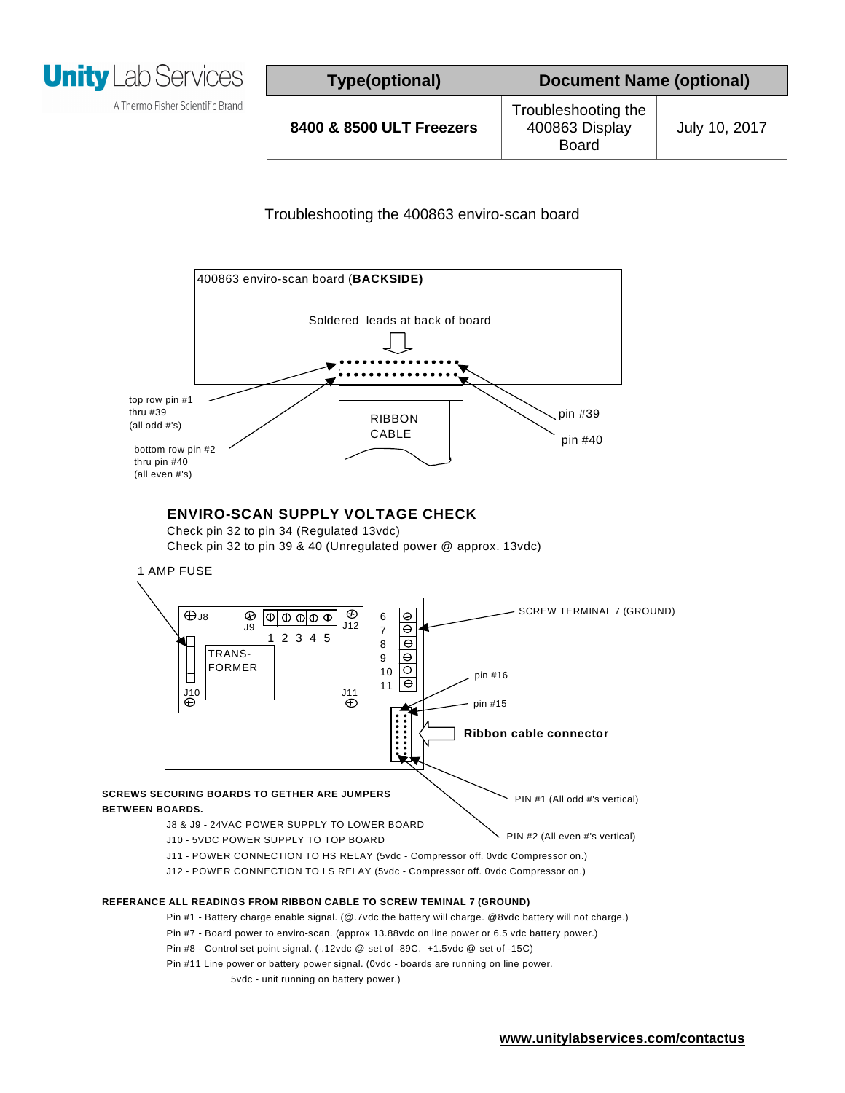

A Thermo Fisher Scientific Brand

## Troubleshooting the 400863 enviro-scan board



## **ENVIRO-SCAN SUPPLY VOLTAGE CHECK**

Check pin 32 to pin 34 (Regulated 13vdc) Check pin 32 to pin 39 & 40 (Unregulated power @ approx. 13vdc)





## **REFERANCE ALL READINGS FROM RIBBON CABLE TO SCREW TEMINAL 7 (GROUND)**

- Pin #1 Battery charge enable signal. (@.7vdc the battery will charge. @8vdc battery will not charge.)
- Pin #7 Board power to enviro-scan. (approx 13.88vdc on line power or 6.5 vdc battery power.)
- Pin #8 Control set point signal. (-.12vdc @ set of -89C. +1.5vdc @ set of -15C)
- Pin #11 Line power or battery power signal. (0vdc boards are running on line power.
	- 5vdc unit running on battery power.)